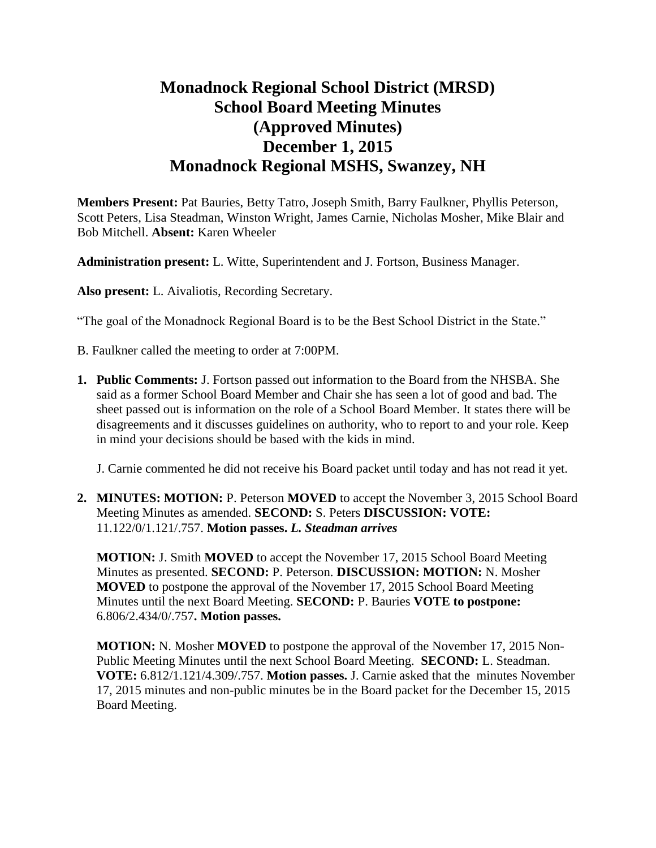# **Monadnock Regional School District (MRSD) School Board Meeting Minutes (Approved Minutes) December 1, 2015 Monadnock Regional MSHS, Swanzey, NH**

**Members Present:** Pat Bauries, Betty Tatro, Joseph Smith, Barry Faulkner, Phyllis Peterson, Scott Peters, Lisa Steadman, Winston Wright, James Carnie, Nicholas Mosher, Mike Blair and Bob Mitchell. **Absent:** Karen Wheeler

**Administration present:** L. Witte, Superintendent and J. Fortson, Business Manager.

**Also present:** L. Aivaliotis, Recording Secretary.

"The goal of the Monadnock Regional Board is to be the Best School District in the State."

- B. Faulkner called the meeting to order at 7:00PM.
- **1. Public Comments:** J. Fortson passed out information to the Board from the NHSBA. She said as a former School Board Member and Chair she has seen a lot of good and bad. The sheet passed out is information on the role of a School Board Member. It states there will be disagreements and it discusses guidelines on authority, who to report to and your role. Keep in mind your decisions should be based with the kids in mind.

J. Carnie commented he did not receive his Board packet until today and has not read it yet.

**2. MINUTES: MOTION:** P. Peterson **MOVED** to accept the November 3, 2015 School Board Meeting Minutes as amended. **SECOND:** S. Peters **DISCUSSION: VOTE:**  11.122/0/1.121/.757. **Motion passes.** *L. Steadman arrives*

**MOTION:** J. Smith **MOVED** to accept the November 17, 2015 School Board Meeting Minutes as presented. **SECOND:** P. Peterson. **DISCUSSION: MOTION:** N. Mosher **MOVED** to postpone the approval of the November 17, 2015 School Board Meeting Minutes until the next Board Meeting. **SECOND:** P. Bauries **VOTE to postpone:** 6.806/2.434/0/.757**. Motion passes.** 

**MOTION:** N. Mosher **MOVED** to postpone the approval of the November 17, 2015 Non-Public Meeting Minutes until the next School Board Meeting. **SECOND:** L. Steadman. **VOTE:** 6.812/1.121/4.309/.757. **Motion passes.** J. Carnie asked that the minutes November 17, 2015 minutes and non-public minutes be in the Board packet for the December 15, 2015 Board Meeting.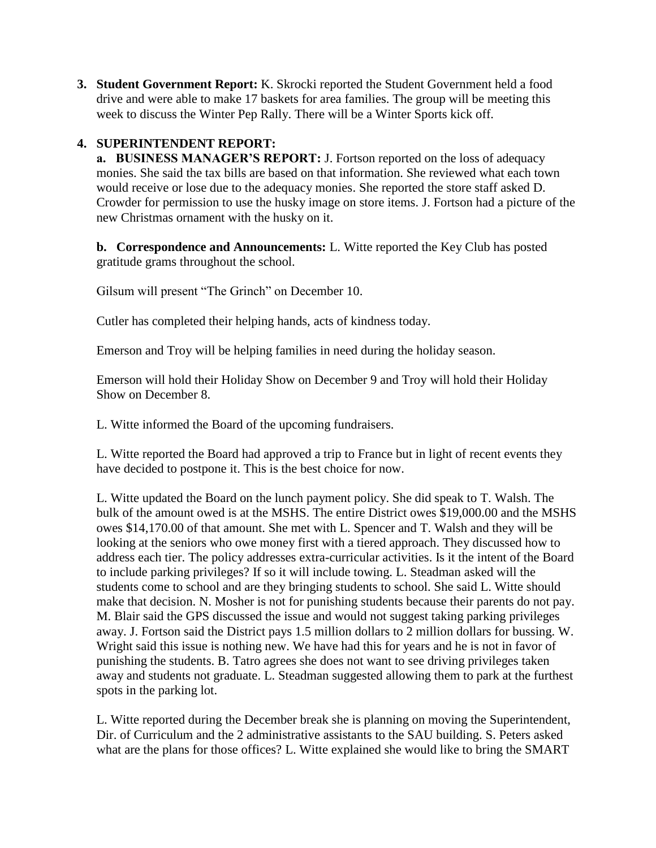**3. Student Government Report:** K. Skrocki reported the Student Government held a food drive and were able to make 17 baskets for area families. The group will be meeting this week to discuss the Winter Pep Rally. There will be a Winter Sports kick off.

## **4. SUPERINTENDENT REPORT:**

 **a. BUSINESS MANAGER'S REPORT:** J. Fortson reported on the loss of adequacy monies. She said the tax bills are based on that information. She reviewed what each town would receive or lose due to the adequacy monies. She reported the store staff asked D. Crowder for permission to use the husky image on store items. J. Fortson had a picture of the new Christmas ornament with the husky on it.

**b. Correspondence and Announcements:** L. Witte reported the Key Club has posted gratitude grams throughout the school.

Gilsum will present "The Grinch" on December 10.

Cutler has completed their helping hands, acts of kindness today.

Emerson and Troy will be helping families in need during the holiday season.

Emerson will hold their Holiday Show on December 9 and Troy will hold their Holiday Show on December 8.

L. Witte informed the Board of the upcoming fundraisers.

L. Witte reported the Board had approved a trip to France but in light of recent events they have decided to postpone it. This is the best choice for now.

L. Witte updated the Board on the lunch payment policy. She did speak to T. Walsh. The bulk of the amount owed is at the MSHS. The entire District owes \$19,000.00 and the MSHS owes \$14,170.00 of that amount. She met with L. Spencer and T. Walsh and they will be looking at the seniors who owe money first with a tiered approach. They discussed how to address each tier. The policy addresses extra-curricular activities. Is it the intent of the Board to include parking privileges? If so it will include towing. L. Steadman asked will the students come to school and are they bringing students to school. She said L. Witte should make that decision. N. Mosher is not for punishing students because their parents do not pay. M. Blair said the GPS discussed the issue and would not suggest taking parking privileges away. J. Fortson said the District pays 1.5 million dollars to 2 million dollars for bussing. W. Wright said this issue is nothing new. We have had this for years and he is not in favor of punishing the students. B. Tatro agrees she does not want to see driving privileges taken away and students not graduate. L. Steadman suggested allowing them to park at the furthest spots in the parking lot.

L. Witte reported during the December break she is planning on moving the Superintendent, Dir. of Curriculum and the 2 administrative assistants to the SAU building. S. Peters asked what are the plans for those offices? L. Witte explained she would like to bring the SMART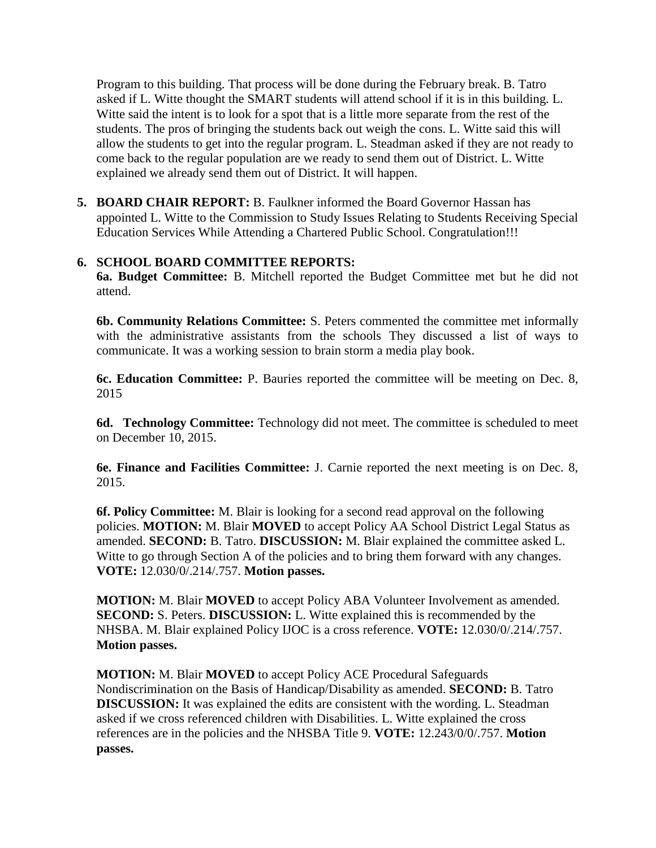Program to this building. That process will be done during the February break. B. Tatro asked if L. Witte thought the SMART students will attend school if it is in this building. L. Witte said the intent is to look for a spot that is a little more separate from the rest of the students. The pros of bringing the students back out weigh the cons. L. Witte said this will allow the students to get into the regular program. L. Steadman asked if they are not ready to come back to the regular population are we ready to send them out of District. L. Witte explained we already send them out of District. It will happen.

**5. BOARD CHAIR REPORT:** B. Faulkner informed the Board Governor Hassan has appointed L. Witte to the Commission to Study Issues Relating to Students Receiving Special Education Services While Attending a Chartered Public School. Congratulation!!!

## **6. SCHOOL BOARD COMMITTEE REPORTS:**

**6a. Budget Committee:** B. Mitchell reported the Budget Committee met but he did not attend.

**6b. Community Relations Committee:** S. Peters commented the committee met informally with the administrative assistants from the schools They discussed a list of ways to communicate. It was a working session to brain storm a media play book.

**6c. Education Committee:** P. Bauries reported the committee will be meeting on Dec. 8, 2015

**6d. Technology Committee:** Technology did not meet. The committee is scheduled to meet on December 10, 2015.

**6e. Finance and Facilities Committee:** J. Carnie reported the next meeting is on Dec. 8, 2015.

**6f. Policy Committee:** M. Blair is looking for a second read approval on the following policies. **MOTION:** M. Blair **MOVED** to accept Policy AA School District Legal Status as amended. **SECOND:** B. Tatro. **DISCUSSION:** M. Blair explained the committee asked L. Witte to go through Section A of the policies and to bring them forward with any changes. **VOTE:** 12.030/0/.214/.757. **Motion passes.** 

**MOTION:** M. Blair **MOVED** to accept Policy ABA Volunteer Involvement as amended. **SECOND:** S. Peters. **DISCUSSION:** L. Witte explained this is recommended by the NHSBA. M. Blair explained Policy IJOC is a cross reference. **VOTE:** 12.030/0/.214/.757. **Motion passes.** 

**MOTION:** M. Blair **MOVED** to accept Policy ACE Procedural Safeguards Nondiscrimination on the Basis of Handicap/Disability as amended. **SECOND:** B. Tatro **DISCUSSION:** It was explained the edits are consistent with the wording. L. Steadman asked if we cross referenced children with Disabilities. L. Witte explained the cross references are in the policies and the NHSBA Title 9. **VOTE:** 12.243/0/0/.757. **Motion passes.**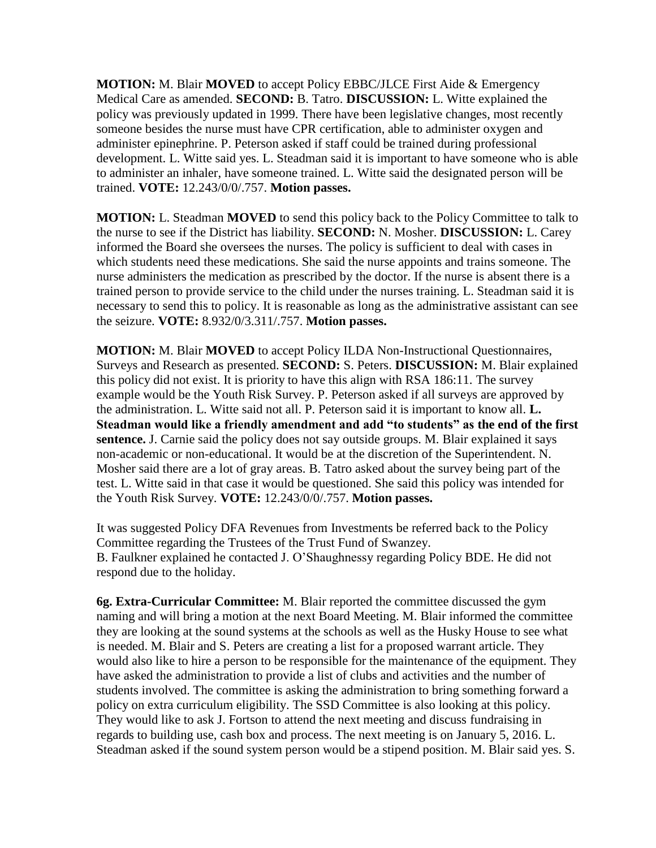**MOTION:** M. Blair **MOVED** to accept Policy EBBC/JLCE First Aide & Emergency Medical Care as amended. **SECOND:** B. Tatro. **DISCUSSION:** L. Witte explained the policy was previously updated in 1999. There have been legislative changes, most recently someone besides the nurse must have CPR certification, able to administer oxygen and administer epinephrine. P. Peterson asked if staff could be trained during professional development. L. Witte said yes. L. Steadman said it is important to have someone who is able to administer an inhaler, have someone trained. L. Witte said the designated person will be trained. **VOTE:** 12.243/0/0/.757. **Motion passes.** 

**MOTION:** L. Steadman **MOVED** to send this policy back to the Policy Committee to talk to the nurse to see if the District has liability. **SECOND:** N. Mosher. **DISCUSSION:** L. Carey informed the Board she oversees the nurses. The policy is sufficient to deal with cases in which students need these medications. She said the nurse appoints and trains someone. The nurse administers the medication as prescribed by the doctor. If the nurse is absent there is a trained person to provide service to the child under the nurses training. L. Steadman said it is necessary to send this to policy. It is reasonable as long as the administrative assistant can see the seizure. **VOTE:** 8.932/0/3.311/.757. **Motion passes.** 

**MOTION:** M. Blair **MOVED** to accept Policy ILDA Non-Instructional Questionnaires, Surveys and Research as presented. **SECOND:** S. Peters. **DISCUSSION:** M. Blair explained this policy did not exist. It is priority to have this align with RSA 186:11. The survey example would be the Youth Risk Survey. P. Peterson asked if all surveys are approved by the administration. L. Witte said not all. P. Peterson said it is important to know all. **L. Steadman would like a friendly amendment and add "to students" as the end of the first sentence.** J. Carnie said the policy does not say outside groups. M. Blair explained it says non-academic or non-educational. It would be at the discretion of the Superintendent. N. Mosher said there are a lot of gray areas. B. Tatro asked about the survey being part of the test. L. Witte said in that case it would be questioned. She said this policy was intended for the Youth Risk Survey. **VOTE:** 12.243/0/0/.757. **Motion passes.** 

It was suggested Policy DFA Revenues from Investments be referred back to the Policy Committee regarding the Trustees of the Trust Fund of Swanzey. B. Faulkner explained he contacted J. O'Shaughnessy regarding Policy BDE. He did not respond due to the holiday.

**6g. Extra-Curricular Committee:** M. Blair reported the committee discussed the gym naming and will bring a motion at the next Board Meeting. M. Blair informed the committee they are looking at the sound systems at the schools as well as the Husky House to see what is needed. M. Blair and S. Peters are creating a list for a proposed warrant article. They would also like to hire a person to be responsible for the maintenance of the equipment. They have asked the administration to provide a list of clubs and activities and the number of students involved. The committee is asking the administration to bring something forward a policy on extra curriculum eligibility. The SSD Committee is also looking at this policy. They would like to ask J. Fortson to attend the next meeting and discuss fundraising in regards to building use, cash box and process. The next meeting is on January 5, 2016. L. Steadman asked if the sound system person would be a stipend position. M. Blair said yes. S.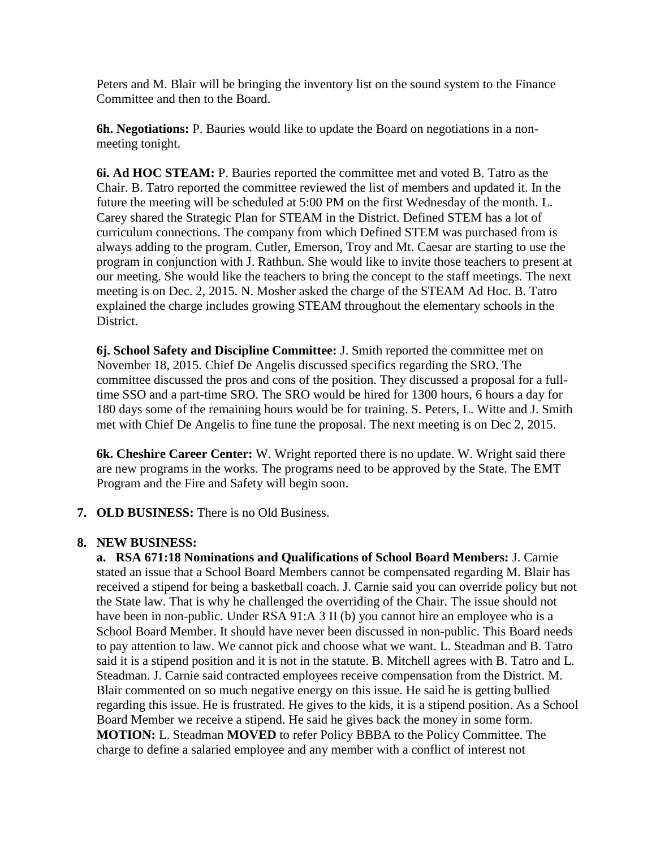Peters and M. Blair will be bringing the inventory list on the sound system to the Finance Committee and then to the Board.

**6h. Negotiations:** P. Bauries would like to update the Board on negotiations in a nonmeeting tonight.

**6i. Ad HOC STEAM:** P. Bauries reported the committee met and voted B. Tatro as the Chair. B. Tatro reported the committee reviewed the list of members and updated it. In the future the meeting will be scheduled at 5:00 PM on the first Wednesday of the month. L. Carey shared the Strategic Plan for STEAM in the District. Defined STEM has a lot of curriculum connections. The company from which Defined STEM was purchased from is always adding to the program. Cutler, Emerson, Troy and Mt. Caesar are starting to use the program in conjunction with J. Rathbun. She would like to invite those teachers to present at our meeting. She would like the teachers to bring the concept to the staff meetings. The next meeting is on Dec. 2, 2015. N. Mosher asked the charge of the STEAM Ad Hoc. B. Tatro explained the charge includes growing STEAM throughout the elementary schools in the District.

**6j. School Safety and Discipline Committee:** J. Smith reported the committee met on November 18, 2015. Chief De Angelis discussed specifics regarding the SRO. The committee discussed the pros and cons of the position. They discussed a proposal for a fulltime SSO and a part-time SRO. The SRO would be hired for 1300 hours, 6 hours a day for 180 days some of the remaining hours would be for training. S. Peters, L. Witte and J. Smith met with Chief De Angelis to fine tune the proposal. The next meeting is on Dec 2, 2015.

**6k. Cheshire Career Center:** W. Wright reported there is no update. W. Wright said there are new programs in the works. The programs need to be approved by the State. The EMT Program and the Fire and Safety will begin soon.

**7. OLD BUSINESS:** There is no Old Business.

## **8. NEW BUSINESS:**

**a. RSA 671:18 Nominations and Qualifications of School Board Members:** J. Carnie stated an issue that a School Board Members cannot be compensated regarding M. Blair has received a stipend for being a basketball coach. J. Carnie said you can override policy but not the State law. That is why he challenged the overriding of the Chair. The issue should not have been in non-public. Under RSA 91:A 3 II (b) you cannot hire an employee who is a School Board Member. It should have never been discussed in non-public. This Board needs to pay attention to law. We cannot pick and choose what we want. L. Steadman and B. Tatro said it is a stipend position and it is not in the statute. B. Mitchell agrees with B. Tatro and L. Steadman. J. Carnie said contracted employees receive compensation from the District. M. Blair commented on so much negative energy on this issue. He said he is getting bullied regarding this issue. He is frustrated. He gives to the kids, it is a stipend position. As a School Board Member we receive a stipend. He said he gives back the money in some form. **MOTION:** L. Steadman **MOVED** to refer Policy BBBA to the Policy Committee. The charge to define a salaried employee and any member with a conflict of interest not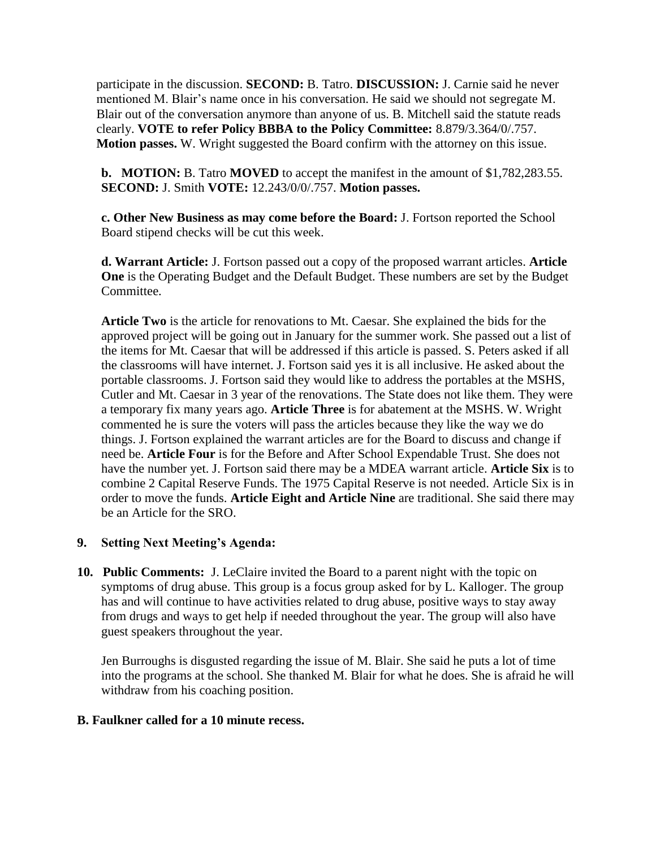participate in the discussion. **SECOND:** B. Tatro. **DISCUSSION:** J. Carnie said he never mentioned M. Blair's name once in his conversation. He said we should not segregate M. Blair out of the conversation anymore than anyone of us. B. Mitchell said the statute reads clearly. **VOTE to refer Policy BBBA to the Policy Committee:** 8.879/3.364/0/.757. **Motion passes.** W. Wright suggested the Board confirm with the attorney on this issue.

**b. MOTION:** B. Tatro **MOVED** to accept the manifest in the amount of \$1,782,283.55. **SECOND:** J. Smith **VOTE:** 12.243/0/0/.757. **Motion passes.**

**c. Other New Business as may come before the Board:** J. Fortson reported the School Board stipend checks will be cut this week.

**d. Warrant Article:** J. Fortson passed out a copy of the proposed warrant articles. **Article One** is the Operating Budget and the Default Budget. These numbers are set by the Budget Committee.

**Article Two** is the article for renovations to Mt. Caesar. She explained the bids for the approved project will be going out in January for the summer work. She passed out a list of the items for Mt. Caesar that will be addressed if this article is passed. S. Peters asked if all the classrooms will have internet. J. Fortson said yes it is all inclusive. He asked about the portable classrooms. J. Fortson said they would like to address the portables at the MSHS, Cutler and Mt. Caesar in 3 year of the renovations. The State does not like them. They were a temporary fix many years ago. **Article Three** is for abatement at the MSHS. W. Wright commented he is sure the voters will pass the articles because they like the way we do things. J. Fortson explained the warrant articles are for the Board to discuss and change if need be. **Article Four** is for the Before and After School Expendable Trust. She does not have the number yet. J. Fortson said there may be a MDEA warrant article. **Article Six** is to combine 2 Capital Reserve Funds. The 1975 Capital Reserve is not needed. Article Six is in order to move the funds. **Article Eight and Article Nine** are traditional. She said there may be an Article for the SRO.

#### **9. Setting Next Meeting's Agenda:**

**10. Public Comments:** J. LeClaire invited the Board to a parent night with the topic on symptoms of drug abuse. This group is a focus group asked for by L. Kalloger. The group has and will continue to have activities related to drug abuse, positive ways to stay away from drugs and ways to get help if needed throughout the year. The group will also have guest speakers throughout the year.

Jen Burroughs is disgusted regarding the issue of M. Blair. She said he puts a lot of time into the programs at the school. She thanked M. Blair for what he does. She is afraid he will withdraw from his coaching position.

#### **B. Faulkner called for a 10 minute recess.**